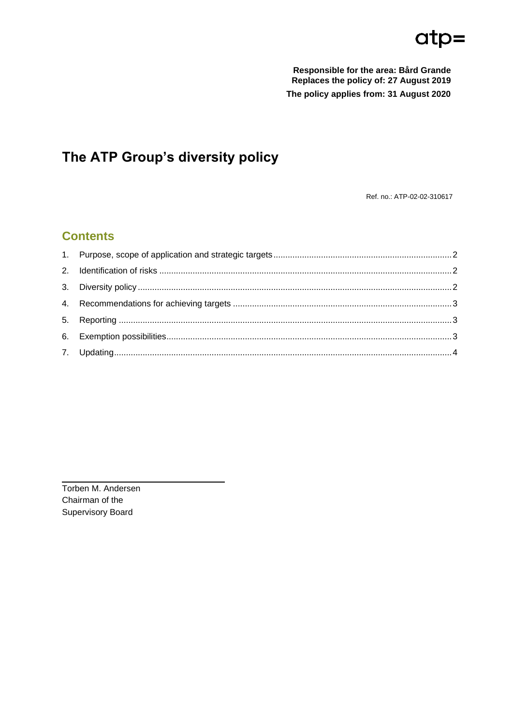# $atp=$

Responsible for the area: Bård Grande Replaces the policy of: 27 August 2019 The policy applies from: 31 August 2020

# The ATP Group's diversity policy

Ref. no.: ATP-02-02-310617

## **Contents**

Torben M. Andersen Chairman of the **Supervisory Board**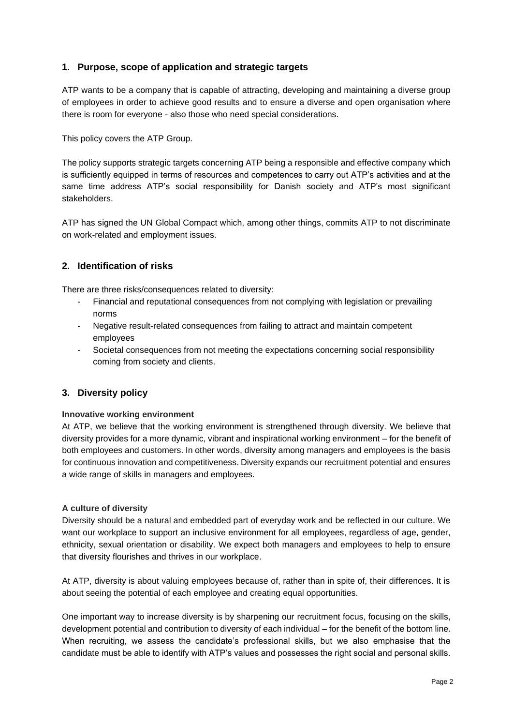#### <span id="page-1-0"></span>**1. Purpose, scope of application and strategic targets**

ATP wants to be a company that is capable of attracting, developing and maintaining a diverse group of employees in order to achieve good results and to ensure a diverse and open organisation where there is room for everyone - also those who need special considerations.

This policy covers the ATP Group.

The policy supports strategic targets concerning ATP being a responsible and effective company which is sufficiently equipped in terms of resources and competences to carry out ATP's activities and at the same time address ATP's social responsibility for Danish society and ATP's most significant stakeholders.

ATP has signed the UN Global Compact which, among other things, commits ATP to not discriminate on work-related and employment issues.

#### <span id="page-1-1"></span>**2. Identification of risks**

There are three risks/consequences related to diversity:

- Financial and reputational consequences from not complying with legislation or prevailing norms
- Negative result-related consequences from failing to attract and maintain competent employees
- Societal consequences from not meeting the expectations concerning social responsibility coming from society and clients.

#### <span id="page-1-2"></span>**3. Diversity policy**

#### **Innovative working environment**

At ATP, we believe that the working environment is strengthened through diversity. We believe that diversity provides for a more dynamic, vibrant and inspirational working environment – for the benefit of both employees and customers. In other words, diversity among managers and employees is the basis for continuous innovation and competitiveness. Diversity expands our recruitment potential and ensures a wide range of skills in managers and employees.

#### **A culture of diversity**

Diversity should be a natural and embedded part of everyday work and be reflected in our culture. We want our workplace to support an inclusive environment for all employees, regardless of age, gender, ethnicity, sexual orientation or disability. We expect both managers and employees to help to ensure that diversity flourishes and thrives in our workplace.

At ATP, diversity is about valuing employees because of, rather than in spite of, their differences. It is about seeing the potential of each employee and creating equal opportunities.

One important way to increase diversity is by sharpening our recruitment focus, focusing on the skills, development potential and contribution to diversity of each individual – for the benefit of the bottom line. When recruiting, we assess the candidate's professional skills, but we also emphasise that the candidate must be able to identify with ATP's values and possesses the right social and personal skills.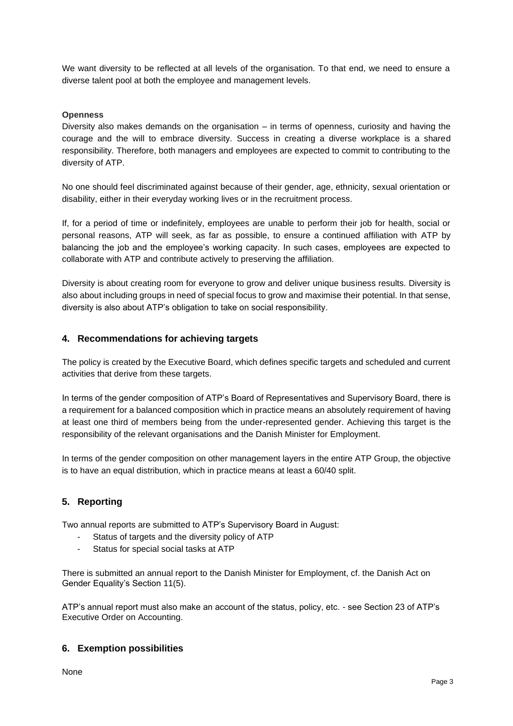We want diversity to be reflected at all levels of the organisation. To that end, we need to ensure a diverse talent pool at both the employee and management levels.

#### **Openness**

Diversity also makes demands on the organisation – in terms of openness, curiosity and having the courage and the will to embrace diversity. Success in creating a diverse workplace is a shared responsibility. Therefore, both managers and employees are expected to commit to contributing to the diversity of ATP.

No one should feel discriminated against because of their gender, age, ethnicity, sexual orientation or disability, either in their everyday working lives or in the recruitment process.

If, for a period of time or indefinitely, employees are unable to perform their job for health, social or personal reasons, ATP will seek, as far as possible, to ensure a continued affiliation with ATP by balancing the job and the employee's working capacity. In such cases, employees are expected to collaborate with ATP and contribute actively to preserving the affiliation.

Diversity is about creating room for everyone to grow and deliver unique business results. Diversity is also about including groups in need of special focus to grow and maximise their potential. In that sense, diversity is also about ATP's obligation to take on social responsibility.

#### <span id="page-2-0"></span>**4. Recommendations for achieving targets**

The policy is created by the Executive Board, which defines specific targets and scheduled and current activities that derive from these targets.

In terms of the gender composition of ATP's Board of Representatives and Supervisory Board, there is a requirement for a balanced composition which in practice means an absolutely requirement of having at least one third of members being from the under-represented gender. Achieving this target is the responsibility of the relevant organisations and the Danish Minister for Employment.

In terms of the gender composition on other management layers in the entire ATP Group, the objective is to have an equal distribution, which in practice means at least a 60/40 split.

#### <span id="page-2-1"></span>**5. Reporting**

Two annual reports are submitted to ATP's Supervisory Board in August:

- Status of targets and the diversity policy of ATP
- Status for special social tasks at ATP

There is submitted an annual report to the Danish Minister for Employment, cf. the Danish Act on Gender Equality's Section 11(5).

ATP's annual report must also make an account of the status, policy, etc. - see Section 23 of ATP's Executive Order on Accounting.

#### <span id="page-2-2"></span>**6. Exemption possibilities**

None